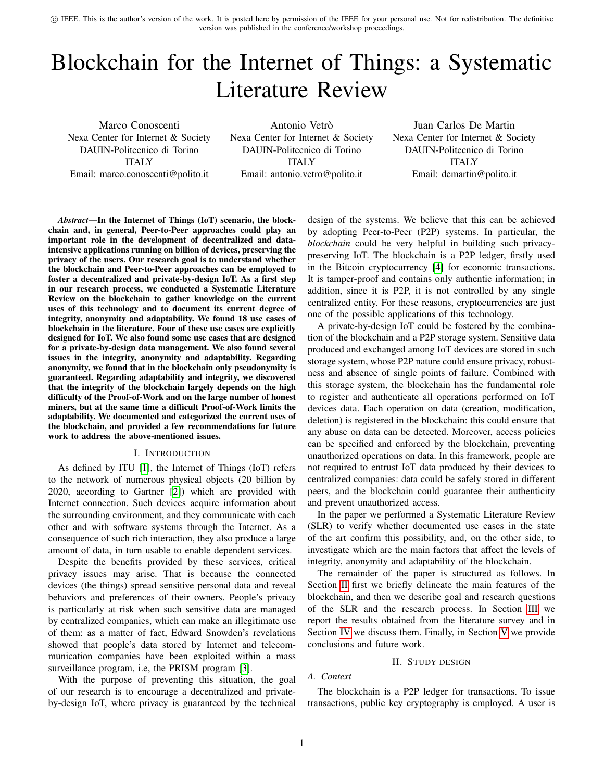c IEEE. This is the author's version of the work. It is posted here by permission of the IEEE for your personal use. Not for redistribution. The definitive version was published in the conference/workshop proceedings.

# Blockchain for the Internet of Things: a Systematic Literature Review

Marco Conoscenti Nexa Center for Internet & Society DAUIN-Politecnico di Torino ITALY Email: marco.conoscenti@polito.it

Antonio Vetrò Nexa Center for Internet & Society DAUIN-Politecnico di Torino ITALY Email: antonio.vetro@polito.it

Juan Carlos De Martin Nexa Center for Internet & Society DAUIN-Politecnico di Torino ITALY Email: demartin@polito.it

*Abstract*—In the Internet of Things (IoT) scenario, the blockchain and, in general, Peer-to-Peer approaches could play an important role in the development of decentralized and dataintensive applications running on billion of devices, preserving the privacy of the users. Our research goal is to understand whether the blockchain and Peer-to-Peer approaches can be employed to foster a decentralized and private-by-design IoT. As a first step in our research process, we conducted a Systematic Literature Review on the blockchain to gather knowledge on the current uses of this technology and to document its current degree of integrity, anonymity and adaptability. We found 18 use cases of blockchain in the literature. Four of these use cases are explicitly designed for IoT. We also found some use cases that are designed for a private-by-design data management. We also found several issues in the integrity, anonymity and adaptability. Regarding anonymity, we found that in the blockchain only pseudonymity is guaranteed. Regarding adaptability and integrity, we discovered that the integrity of the blockchain largely depends on the high difficulty of the Proof-of-Work and on the large number of honest miners, but at the same time a difficult Proof-of-Work limits the adaptability. We documented and categorized the current uses of the blockchain, and provided a few recommendations for future work to address the above-mentioned issues.

#### I. INTRODUCTION

As defined by ITU [\[1\]](#page-5-0), the Internet of Things (IoT) refers to the network of numerous physical objects (20 billion by 2020, according to Gartner [\[2\]](#page-5-1)) which are provided with Internet connection. Such devices acquire information about the surrounding environment, and they communicate with each other and with software systems through the Internet. As a consequence of such rich interaction, they also produce a large amount of data, in turn usable to enable dependent services.

Despite the benefits provided by these services, critical privacy issues may arise. That is because the connected devices (the things) spread sensitive personal data and reveal behaviors and preferences of their owners. People's privacy is particularly at risk when such sensitive data are managed by centralized companies, which can make an illegitimate use of them: as a matter of fact, Edward Snowden's revelations showed that people's data stored by Internet and telecommunication companies have been exploited within a mass surveillance program, i.e, the PRISM program [\[3\]](#page-5-2).

With the purpose of preventing this situation, the goal of our research is to encourage a decentralized and privateby-design IoT, where privacy is guaranteed by the technical

design of the systems. We believe that this can be achieved by adopting Peer-to-Peer (P2P) systems. In particular, the *blockchain* could be very helpful in building such privacypreserving IoT. The blockchain is a P2P ledger, firstly used in the Bitcoin cryptocurrency [\[4\]](#page-5-3) for economic transactions. It is tamper-proof and contains only authentic information; in addition, since it is P2P, it is not controlled by any single centralized entity. For these reasons, cryptocurrencies are just one of the possible applications of this technology.

A private-by-design IoT could be fostered by the combination of the blockchain and a P2P storage system. Sensitive data produced and exchanged among IoT devices are stored in such storage system, whose P2P nature could ensure privacy, robustness and absence of single points of failure. Combined with this storage system, the blockchain has the fundamental role to register and authenticate all operations performed on IoT devices data. Each operation on data (creation, modification, deletion) is registered in the blockchain: this could ensure that any abuse on data can be detected. Moreover, access policies can be specified and enforced by the blockchain, preventing unauthorized operations on data. In this framework, people are not required to entrust IoT data produced by their devices to centralized companies: data could be safely stored in different peers, and the blockchain could guarantee their authenticity and prevent unauthorized access.

In the paper we performed a Systematic Literature Review (SLR) to verify whether documented use cases in the state of the art confirm this possibility, and, on the other side, to investigate which are the main factors that affect the levels of integrity, anonymity and adaptability of the blockchain.

The remainder of the paper is structured as follows. In Section [II](#page-0-0) first we briefly delineate the main features of the blockchain, and then we describe goal and research questions of the SLR and the research process. In Section [III](#page-2-0) we report the results obtained from the literature survey and in Section [IV](#page-3-0) we discuss them. Finally, in Section [V](#page-4-0) we provide conclusions and future work.

#### II. STUDY DESIGN

## <span id="page-0-0"></span>*A. Context*

The blockchain is a P2P ledger for transactions. To issue transactions, public key cryptography is employed. A user is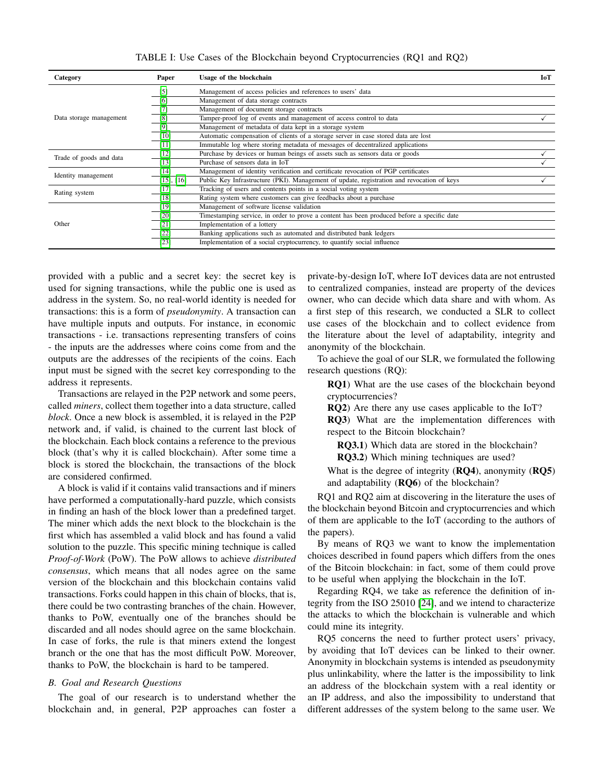<span id="page-1-0"></span>

| Category                | Paper           | Usage of the blockchain                                                                    | <b>IoT</b> |
|-------------------------|-----------------|--------------------------------------------------------------------------------------------|------------|
|                         | $[5]$           | Management of access policies and references to users' data                                |            |
| Data storage management | [6]             | Management of data storage contracts                                                       |            |
|                         | $[7]$           | Management of document storage contracts                                                   |            |
|                         | [8]             | Tamper-proof log of events and management of access control to data                        |            |
|                         | [9]             | Management of metadata of data kept in a storage system                                    |            |
|                         | $[10]$          | Automatic compensation of clients of a storage server in case stored data are lost         |            |
|                         | [11]            | Immutable log where storing metadata of messages of decentralized applications             |            |
| Trade of goods and data | [12]            | Purchase by devices or human beings of assets such as sensors data or goods                |            |
|                         | [13]            | Purchase of sensors data in IoT                                                            |            |
| Identity management     | [14]            | Management of identity verification and certificate revocation of PGP certificates         |            |
|                         | $[15]$ , $[16]$ | Public Key Infrastructure (PKI). Management of update, registration and revocation of keys |            |
| Rating system           | $[17]$          | Tracking of users and contents points in a social voting system                            |            |
|                         | [18]            | Rating system where customers can give feedbacks about a purchase                          |            |
| Other                   | [19]            | Management of software license validation                                                  |            |
|                         | $[20]$          | Timestamping service, in order to prove a content has been produced before a specific date |            |
|                         | $[21]$          | Implementation of a lottery                                                                |            |
|                         | $[22]$          | Banking applications such as automated and distributed bank ledgers                        |            |
|                         | $[23]$          | Implementation of a social cryptocurrency, to quantify social influence                    |            |

TABLE I: Use Cases of the Blockchain beyond Cryptocurrencies (RQ1 and RQ2)

provided with a public and a secret key: the secret key is used for signing transactions, while the public one is used as address in the system. So, no real-world identity is needed for transactions: this is a form of *pseudonymity*. A transaction can have multiple inputs and outputs. For instance, in economic transactions - i.e. transactions representing transfers of coins - the inputs are the addresses where coins come from and the outputs are the addresses of the recipients of the coins. Each input must be signed with the secret key corresponding to the address it represents.

Transactions are relayed in the P2P network and some peers, called *miners*, collect them together into a data structure, called *block*. Once a new block is assembled, it is relayed in the P2P network and, if valid, is chained to the current last block of the blockchain. Each block contains a reference to the previous block (that's why it is called blockchain). After some time a block is stored the blockchain, the transactions of the block are considered confirmed.

A block is valid if it contains valid transactions and if miners have performed a computationally-hard puzzle, which consists in finding an hash of the block lower than a predefined target. The miner which adds the next block to the blockchain is the first which has assembled a valid block and has found a valid solution to the puzzle. This specific mining technique is called *Proof-of-Work* (PoW). The PoW allows to achieve *distributed consensus*, which means that all nodes agree on the same version of the blockchain and this blockchain contains valid transactions. Forks could happen in this chain of blocks, that is, there could be two contrasting branches of the chain. However, thanks to PoW, eventually one of the branches should be discarded and all nodes should agree on the same blockchain. In case of forks, the rule is that miners extend the longest branch or the one that has the most difficult PoW. Moreover, thanks to PoW, the blockchain is hard to be tampered.

#### *B. Goal and Research Questions*

The goal of our research is to understand whether the blockchain and, in general, P2P approaches can foster a private-by-design IoT, where IoT devices data are not entrusted to centralized companies, instead are property of the devices owner, who can decide which data share and with whom. As a first step of this research, we conducted a SLR to collect use cases of the blockchain and to collect evidence from the literature about the level of adaptability, integrity and anonymity of the blockchain.

To achieve the goal of our SLR, we formulated the following research questions (RQ):

RQ1) What are the use cases of the blockchain beyond cryptocurrencies?

RQ2) Are there any use cases applicable to the IoT?

RQ3) What are the implementation differences with respect to the Bitcoin blockchain?

RQ3.1) Which data are stored in the blockchain?

RQ3.2) Which mining techniques are used?

What is the degree of integrity  $(RQ4)$ , anonymity  $(RQ5)$ and adaptability  $(RQ6)$  of the blockchain?

RQ1 and RQ2 aim at discovering in the literature the uses of the blockchain beyond Bitcoin and cryptocurrencies and which of them are applicable to the IoT (according to the authors of the papers).

By means of RQ3 we want to know the implementation choices described in found papers which differs from the ones of the Bitcoin blockchain: in fact, some of them could prove to be useful when applying the blockchain in the IoT.

Regarding RQ4, we take as reference the definition of integrity from the ISO 25010 [\[24\]](#page-5-23), and we intend to characterize the attacks to which the blockchain is vulnerable and which could mine its integrity.

RQ5 concerns the need to further protect users' privacy, by avoiding that IoT devices can be linked to their owner. Anonymity in blockchain systems is intended as pseudonymity plus unlinkability, where the latter is the impossibility to link an address of the blockchain system with a real identity or an IP address, and also the impossibility to understand that different addresses of the system belong to the same user. We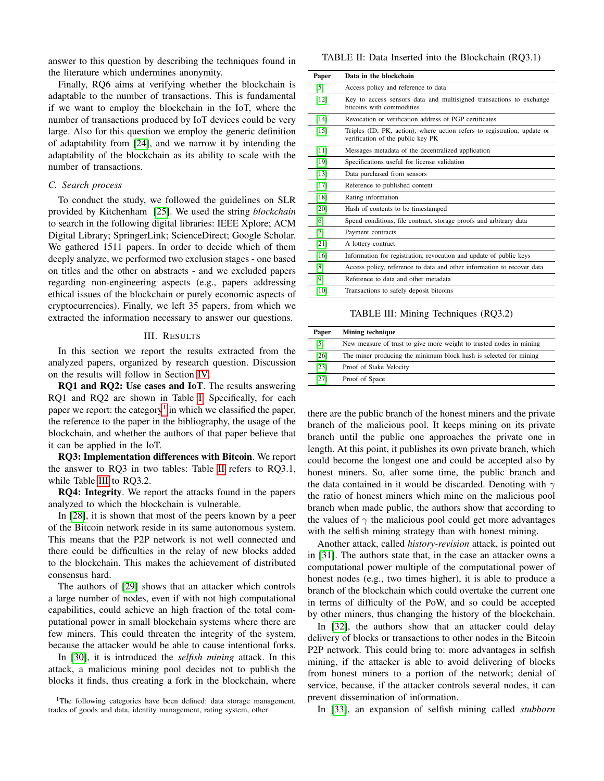answer to this question by describing the techniques found in the literature which undermines anonymity.

Finally, RQ6 aims at verifying whether the blockchain is adaptable to the number of transactions. This is fundamental if we want to employ the blockchain in the IoT, where the number of transactions produced by IoT devices could be very large. Also for this question we employ the generic definition of adaptability from [\[24\]](#page-5-23), and we narrow it by intending the adaptability of the blockchain as its ability to scale with the number of transactions.

## *C. Search process*

To conduct the study, we followed the guidelines on SLR provided by Kitchenham [\[25\]](#page-5-24). We used the string *blockchain* to search in the following digital libraries: IEEE Xplore; ACM Digital Library; SpringerLink; ScienceDirect; Google Scholar. We gathered 1511 papers. In order to decide which of them deeply analyze, we performed two exclusion stages - one based on titles and the other on abstracts - and we excluded papers regarding non-engineering aspects (e.g., papers addressing ethical issues of the blockchain or purely economic aspects of cryptocurrencies). Finally, we left 35 papers, from which we extracted the information necessary to answer our questions.

## III. RESULTS

<span id="page-2-0"></span>In this section we report the results extracted from the analyzed papers, organized by research question. Discussion on the results will follow in Section [IV.](#page-3-0)

RQ1 and RQ2: Use cases and IoT. The results answering RQ1 and RQ2 are shown in Table [I.](#page-1-0) Specifically, for each paper we report: the category<sup>[1](#page-2-1)</sup> in which we classified the paper, the reference to the paper in the bibliography, the usage of the blockchain, and whether the authors of that paper believe that it can be applied in the IoT.

RQ3: Implementation differences with Bitcoin. We report the answer to RQ3 in two tables: Table [II](#page-2-2) refers to RQ3.1, while Table [III](#page-2-3) to RQ3.2.

RQ4: Integrity. We report the attacks found in the papers analyzed to which the blockchain is vulnerable.

In [\[28\]](#page-5-25), it is shown that most of the peers known by a peer of the Bitcoin network reside in its same autonomous system. This means that the P2P network is not well connected and there could be difficulties in the relay of new blocks added to the blockchain. This makes the achievement of distributed consensus hard.

The authors of [\[29\]](#page-5-26) shows that an attacker which controls a large number of nodes, even if with not high computational capabilities, could achieve an high fraction of the total computational power in small blockchain systems where there are few miners. This could threaten the integrity of the system, because the attacker would be able to cause intentional forks.

In [\[30\]](#page-5-27), it is introduced the *selfish mining* attack. In this attack, a malicious mining pool decides not to publish the blocks it finds, thus creating a fork in the blockchain, where

<span id="page-2-1"></span><sup>1</sup>The following categories have been defined: data storage management, trades of goods and data, identity management, rating system, other

<span id="page-2-2"></span>TABLE II: Data Inserted into the Blockchain (RQ3.1)

| Paper  | Data in the blockchain                                                                                        |  |  |
|--------|---------------------------------------------------------------------------------------------------------------|--|--|
| [5]    | Access policy and reference to data                                                                           |  |  |
| $[12]$ | Key to access sensors data and multisigned transactions to exchange<br>bitcoins with commodities              |  |  |
| [14]   | Revocation or verification address of PGP certificates                                                        |  |  |
| [15]   | Triples (ID, PK, action), where action refers to registration, update or<br>verification of the public key PK |  |  |
| [11]   | Messages metadata of the decentralized application                                                            |  |  |
| [19]   | Specifications useful for license validation                                                                  |  |  |
| [13]   | Data purchased from sensors                                                                                   |  |  |
| [17]   | Reference to published content                                                                                |  |  |
| [18]   | Rating information                                                                                            |  |  |
| [20]   | Hash of contents to be timestamped                                                                            |  |  |
| [6]    | Spend conditions, file contract, storage proofs and arbitrary data                                            |  |  |
| [7]    | Payment contracts                                                                                             |  |  |
| [21]   | A lottery contract                                                                                            |  |  |
| [16]   | Information for registration, revocation and update of public keys                                            |  |  |
| [8]    | Access policy, reference to data and other information to recover data                                        |  |  |
| [9]    | Reference to data and other metadata                                                                          |  |  |
| [10]   | Transactions to safely deposit bitcoins                                                                       |  |  |

TABLE III: Mining Techniques (RQ3.2)

<span id="page-2-3"></span>

| Paper | Mining technique                                                    |
|-------|---------------------------------------------------------------------|
| [5]   | New measure of trust to give more weight to trusted nodes in mining |
| [26]  | The miner producing the minimum block hash is selected for mining   |
| [23]  | Proof of Stake Velocity                                             |
| [27]  | Proof of Space                                                      |
|       |                                                                     |

there are the public branch of the honest miners and the private branch of the malicious pool. It keeps mining on its private branch until the public one approaches the private one in length. At this point, it publishes its own private branch, which could become the longest one and could be accepted also by honest miners. So, after some time, the public branch and the data contained in it would be discarded. Denoting with  $\gamma$ the ratio of honest miners which mine on the malicious pool branch when made public, the authors show that according to the values of  $\gamma$  the malicious pool could get more advantages with the selfish mining strategy than with honest mining.

Another attack, called *history-revision* attack, is pointed out in [\[31\]](#page-5-30). The authors state that, in the case an attacker owns a computational power multiple of the computational power of honest nodes (e.g., two times higher), it is able to produce a branch of the blockchain which could overtake the current one in terms of difficulty of the PoW, and so could be accepted by other miners, thus changing the history of the blockchain.

In [\[32\]](#page-5-31), the authors show that an attacker could delay delivery of blocks or transactions to other nodes in the Bitcoin P2P network. This could bring to: more advantages in selfish mining, if the attacker is able to avoid delivering of blocks from honest miners to a portion of the network; denial of service, because, if the attacker controls several nodes, it can prevent dissemination of information.

In [\[33\]](#page-5-32), an expansion of selfish mining called *stubborn*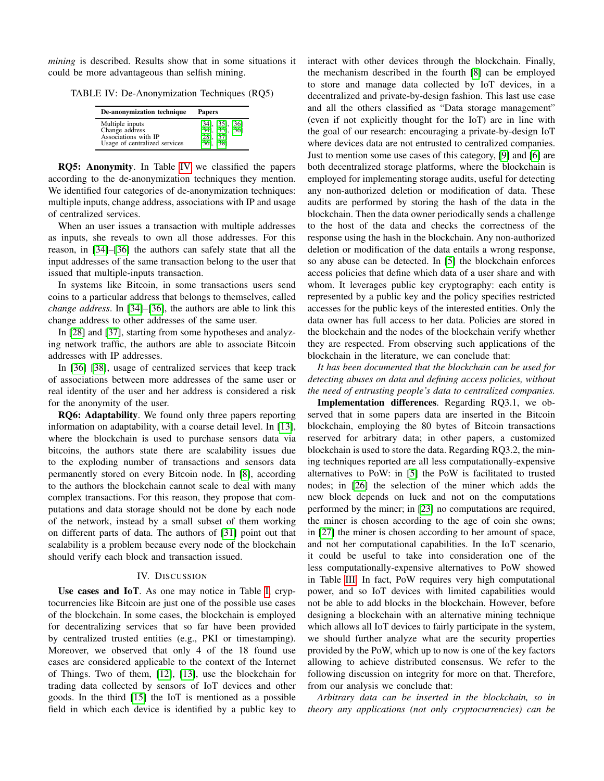*mining* is described. Results show that in some situations it could be more advantageous than selfish mining.

<span id="page-3-1"></span>TABLE IV: De-Anonymization Techniques (RQ5)

| De-anonymization technique             | <b>Papers</b>                                                                                                                             |
|----------------------------------------|-------------------------------------------------------------------------------------------------------------------------------------------|
| Multiple inputs                        | $[34]$ , $[35]$ , $[36]$                                                                                                                  |
| Change address<br>Associations with IP | $\begin{bmatrix} 34 \\ 28 \\ 37 \end{bmatrix}$ , $\begin{bmatrix} 35 \\ 37 \\ 1 \end{bmatrix}$ , $\begin{bmatrix} 36 \\ 37 \end{bmatrix}$ |
| Usage of centralized services          | $[36]$ , $[38]$                                                                                                                           |

RQ5: Anonymity. In Table [IV](#page-3-1) we classified the papers according to the de-anonymization techniques they mention. We identified four categories of de-anonymization techniques: multiple inputs, change address, associations with IP and usage of centralized services.

When an user issues a transaction with multiple addresses as inputs, she reveals to own all those addresses. For this reason, in [\[34\]](#page-5-33)–[\[36\]](#page-5-35) the authors can safely state that all the input addresses of the same transaction belong to the user that issued that multiple-inputs transaction.

In systems like Bitcoin, in some transactions users send coins to a particular address that belongs to themselves, called *change address*. In [\[34\]](#page-5-33)–[\[36\]](#page-5-35), the authors are able to link this change address to other addresses of the same user.

In [\[28\]](#page-5-25) and [\[37\]](#page-5-36), starting from some hypotheses and analyzing network traffic, the authors are able to associate Bitcoin addresses with IP addresses.

In [\[36\]](#page-5-35) [\[38\]](#page-5-37), usage of centralized services that keep track of associations between more addresses of the same user or real identity of the user and her address is considered a risk for the anonymity of the user.

RQ6: Adaptability. We found only three papers reporting information on adaptability, with a coarse detail level. In [\[13\]](#page-5-12), where the blockchain is used to purchase sensors data via bitcoins, the authors state there are scalability issues due to the exploding number of transactions and sensors data permanently stored on every Bitcoin node. In [\[8\]](#page-5-7), according to the authors the blockchain cannot scale to deal with many complex transactions. For this reason, they propose that computations and data storage should not be done by each node of the network, instead by a small subset of them working on different parts of data. The authors of [\[31\]](#page-5-30) point out that scalability is a problem because every node of the blockchain should verify each block and transaction issued.

## IV. DISCUSSION

<span id="page-3-0"></span>Use cases and IoT. As one may notice in Table [I,](#page-1-0) cryptocurrencies like Bitcoin are just one of the possible use cases of the blockchain. In some cases, the blockchain is employed for decentralizing services that so far have been provided by centralized trusted entities (e.g., PKI or timestamping). Moreover, we observed that only 4 of the 18 found use cases are considered applicable to the context of the Internet of Things. Two of them, [\[12\]](#page-5-11), [\[13\]](#page-5-12), use the blockchain for trading data collected by sensors of IoT devices and other goods. In the third [\[15\]](#page-5-14) the IoT is mentioned as a possible field in which each device is identified by a public key to interact with other devices through the blockchain. Finally, the mechanism described in the fourth [\[8\]](#page-5-7) can be employed to store and manage data collected by IoT devices, in a decentralized and private-by-design fashion. This last use case and all the others classified as "Data storage management" (even if not explicitly thought for the IoT) are in line with the goal of our research: encouraging a private-by-design IoT where devices data are not entrusted to centralized companies. Just to mention some use cases of this category, [\[9\]](#page-5-8) and [\[6\]](#page-5-5) are both decentralized storage platforms, where the blockchain is employed for implementing storage audits, useful for detecting any non-authorized deletion or modification of data. These audits are performed by storing the hash of the data in the blockchain. Then the data owner periodically sends a challenge to the host of the data and checks the correctness of the response using the hash in the blockchain. Any non-authorized deletion or modification of the data entails a wrong response, so any abuse can be detected. In [\[5\]](#page-5-4) the blockchain enforces access policies that define which data of a user share and with whom. It leverages public key cryptography: each entity is represented by a public key and the policy specifies restricted accesses for the public keys of the interested entities. Only the data owner has full access to her data. Policies are stored in the blockchain and the nodes of the blockchain verify whether they are respected. From observing such applications of the blockchain in the literature, we can conclude that:

*It has been documented that the blockchain can be used for detecting abuses on data and defining access policies, without the need of entrusting people's data to centralized companies.*

Implementation differences. Regarding RQ3.1, we observed that in some papers data are inserted in the Bitcoin blockchain, employing the 80 bytes of Bitcoin transactions reserved for arbitrary data; in other papers, a customized blockchain is used to store the data. Regarding RQ3.2, the mining techniques reported are all less computationally-expensive alternatives to PoW: in [\[5\]](#page-5-4) the PoW is facilitated to trusted nodes; in [\[26\]](#page-5-28) the selection of the miner which adds the new block depends on luck and not on the computations performed by the miner; in [\[23\]](#page-5-22) no computations are required, the miner is chosen according to the age of coin she owns; in [\[27\]](#page-5-29) the miner is chosen according to her amount of space, and not her computational capabilities. In the IoT scenario, it could be useful to take into consideration one of the less computationally-expensive alternatives to PoW showed in Table [III.](#page-2-3) In fact, PoW requires very high computational power, and so IoT devices with limited capabilities would not be able to add blocks in the blockchain. However, before designing a blockchain with an alternative mining technique which allows all IoT devices to fairly participate in the system, we should further analyze what are the security properties provided by the PoW, which up to now is one of the key factors allowing to achieve distributed consensus. We refer to the following discussion on integrity for more on that. Therefore, from our analysis we conclude that:

*Arbitrary data can be inserted in the blockchain, so in theory any applications (not only cryptocurrencies) can be*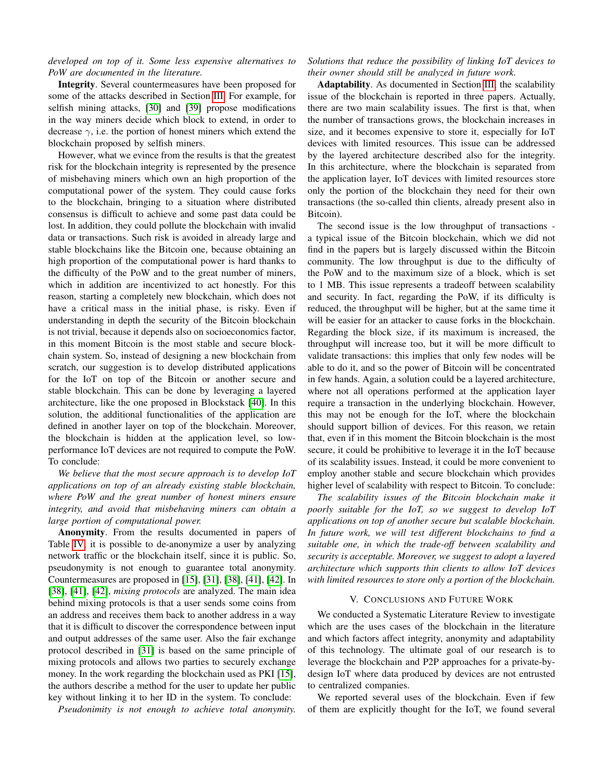## *developed on top of it. Some less expensive alternatives to PoW are documented in the literature.*

Integrity. Several countermeasures have been proposed for some of the attacks described in Section [III.](#page-2-0) For example, for selfish mining attacks, [\[30\]](#page-5-27) and [\[39\]](#page-5-38) propose modifications in the way miners decide which block to extend, in order to decrease  $\gamma$ , i.e. the portion of honest miners which extend the blockchain proposed by selfish miners.

However, what we evince from the results is that the greatest risk for the blockchain integrity is represented by the presence of misbehaving miners which own an high proportion of the computational power of the system. They could cause forks to the blockchain, bringing to a situation where distributed consensus is difficult to achieve and some past data could be lost. In addition, they could pollute the blockchain with invalid data or transactions. Such risk is avoided in already large and stable blockchains like the Bitcoin one, because obtaining an high proportion of the computational power is hard thanks to the difficulty of the PoW and to the great number of miners, which in addition are incentivized to act honestly. For this reason, starting a completely new blockchain, which does not have a critical mass in the initial phase, is risky. Even if understanding in depth the security of the Bitcoin blockchain is not trivial, because it depends also on socioeconomics factor, in this moment Bitcoin is the most stable and secure blockchain system. So, instead of designing a new blockchain from scratch, our suggestion is to develop distributed applications for the IoT on top of the Bitcoin or another secure and stable blockchain. This can be done by leveraging a layered architecture, like the one proposed in Blockstack [\[40\]](#page-5-39). In this solution, the additional functionalities of the application are defined in another layer on top of the blockchain. Moreover, the blockchain is hidden at the application level, so lowperformance IoT devices are not required to compute the PoW. To conclude:

*We believe that the most secure approach is to develop IoT applications on top of an already existing stable blockchain, where PoW and the great number of honest miners ensure integrity, and avoid that misbehaving miners can obtain a large portion of computational power.*

Anonymity. From the results documented in papers of Table [IV,](#page-3-1) it is possible to de-anonymize a user by analyzing network traffic or the blockchain itself, since it is public. So, pseudonymity is not enough to guarantee total anonymity. Countermeasures are proposed in [\[15\]](#page-5-14), [\[31\]](#page-5-30), [\[38\]](#page-5-37), [\[41\]](#page-5-40), [\[42\]](#page-5-41). In [\[38\]](#page-5-37), [\[41\]](#page-5-40), [\[42\]](#page-5-41), *mixing protocols* are analyzed. The main idea behind mixing protocols is that a user sends some coins from an address and receives them back to another address in a way that it is difficult to discover the correspondence between input and output addresses of the same user. Also the fair exchange protocol described in [\[31\]](#page-5-30) is based on the same principle of mixing protocols and allows two parties to securely exchange money. In the work regarding the blockchain used as PKI [\[15\]](#page-5-14), the authors describe a method for the user to update her public key without linking it to her ID in the system. To conclude:

*Pseudonimity is not enough to achieve total anonymity.*

## *Solutions that reduce the possibility of linking IoT devices to their owner should still be analyzed in future work.*

Adaptability. As documented in Section [III,](#page-2-0) the scalability issue of the blockchain is reported in three papers. Actually, there are two main scalability issues. The first is that, when the number of transactions grows, the blockchain increases in size, and it becomes expensive to store it, especially for IoT devices with limited resources. This issue can be addressed by the layered architecture described also for the integrity. In this architecture, where the blockchain is separated from the application layer, IoT devices with limited resources store only the portion of the blockchain they need for their own transactions (the so-called thin clients, already present also in Bitcoin).

The second issue is the low throughput of transactions a typical issue of the Bitcoin blockchain, which we did not find in the papers but is largely discussed within the Bitcoin community. The low throughput is due to the difficulty of the PoW and to the maximum size of a block, which is set to 1 MB. This issue represents a tradeoff between scalability and security. In fact, regarding the PoW, if its difficulty is reduced, the throughput will be higher, but at the same time it will be easier for an attacker to cause forks in the blockchain. Regarding the block size, if its maximum is increased, the throughput will increase too, but it will be more difficult to validate transactions: this implies that only few nodes will be able to do it, and so the power of Bitcoin will be concentrated in few hands. Again, a solution could be a layered architecture, where not all operations performed at the application layer require a transaction in the underlying blockchain. However, this may not be enough for the IoT, where the blockchain should support billion of devices. For this reason, we retain that, even if in this moment the Bitcoin blockchain is the most secure, it could be prohibitive to leverage it in the IoT because of its scalability issues. Instead, it could be more convenient to employ another stable and secure blockchain which provides higher level of scalability with respect to Bitcoin. To conclude:

*The scalability issues of the Bitcoin blockchain make it poorly suitable for the IoT, so we suggest to develop IoT applications on top of another secure but scalable blockchain. In future work, we will test different blockchains to find a suitable one, in which the trade-off between scalability and security is acceptable. Moreover, we suggest to adopt a layered architecture which supports thin clients to allow IoT devices with limited resources to store only a portion of the blockchain.*

#### V. CONCLUSIONS AND FUTURE WORK

<span id="page-4-0"></span>We conducted a Systematic Literature Review to investigate which are the uses cases of the blockchain in the literature and which factors affect integrity, anonymity and adaptability of this technology. The ultimate goal of our research is to leverage the blockchain and P2P approaches for a private-bydesign IoT where data produced by devices are not entrusted to centralized companies.

We reported several uses of the blockchain. Even if few of them are explicitly thought for the IoT, we found several